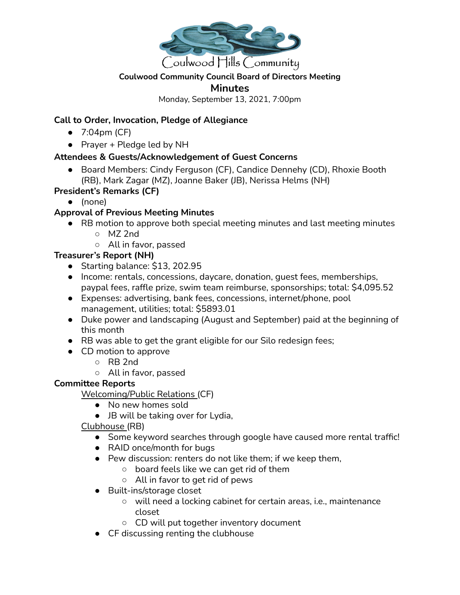

### **Coulwood Community Council Board of Directors Meeting**

### **Minutes**

Monday, September 13, 2021, 7:00pm

## **Call to Order, Invocation, Pledge of Allegiance**

- 7:04pm (CF)
- Prayer + Pledge led by NH

# **Attendees & Guests/Acknowledgement of Guest Concerns**

● Board Members: Cindy Ferguson (CF), Candice Dennehy (CD), Rhoxie Booth (RB), Mark Zagar (MZ), Joanne Baker (JB), Nerissa Helms (NH)

## **President's Remarks (CF)**

● (none)

# **Approval of Previous Meeting Minutes**

- RB motion to approve both special meeting minutes and last meeting minutes
	- MZ 2nd
	- All in favor, passed

# **Treasurer's Report (NH)**

- Starting balance: \$13, 202.95
- Income: rentals, concessions, daycare, donation, guest fees, memberships, paypal fees, raffle prize, swim team reimburse, sponsorships; total: \$4,095.52
- Expenses: advertising, bank fees, concessions, internet/phone, pool management, utilities; total: \$5893.01
- Duke power and landscaping (August and September) paid at the beginning of this month
- RB was able to get the grant eligible for our Silo redesign fees;
- CD motion to approve
	- RB 2nd
	- All in favor, passed

## **Committee Reports**

Welcoming/Public Relations (CF)

- No new homes sold
- JB will be taking over for Lydia,

Clubhouse (RB)

- Some keyword searches through google have caused more rental traffic!
- RAID once/month for bugs
- Pew discussion: renters do not like them; if we keep them,
	- board feels like we can get rid of them
	- All in favor to get rid of pews
- Built-ins/storage closet
	- will need a locking cabinet for certain areas, i.e., maintenance closet
	- CD will put together inventory document
- CF discussing renting the clubhouse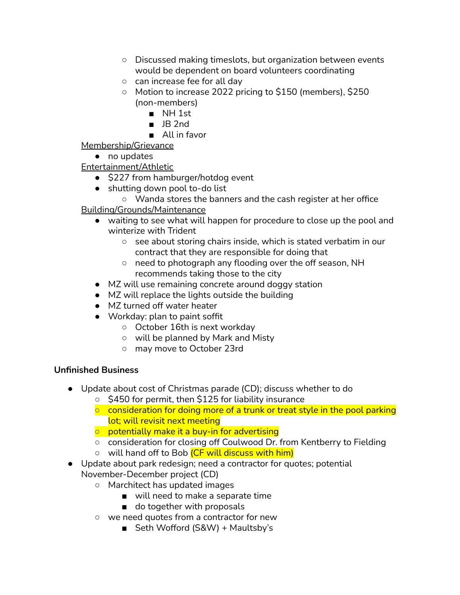- Discussed making timeslots, but organization between events would be dependent on board volunteers coordinating
- can increase fee for all day
- Motion to increase 2022 pricing to \$150 (members), \$250 (non-members)
	- NH 1st
	- JB 2nd
	- All in favor

Membership/Grievance

● no updates

Entertainment/Athletic

- \$227 from hamburger/hotdog event
- shutting down pool to-do list
	- Wanda stores the banners and the cash register at her office

Building/Grounds/Maintenance

- waiting to see what will happen for procedure to close up the pool and winterize with Trident
	- see about storing chairs inside, which is stated verbatim in our contract that they are responsible for doing that
	- need to photograph any flooding over the off season, NH recommends taking those to the city
- MZ will use remaining concrete around doggy station
- MZ will replace the lights outside the building
- MZ turned off water heater
- Workday: plan to paint soffit
	- October 16th is next workday
	- will be planned by Mark and Misty
	- may move to October 23rd

### **Unfinished Business**

- Update about cost of Christmas parade (CD); discuss whether to do
	- \$450 for permit, then \$125 for liability insurance
	- $\circ$  consideration for doing more of a trunk or treat style in the pool parking lot; will revisit next meeting
	- potentially make it a buy-in for advertising
	- consideration for closing off Coulwood Dr. from Kentberry to Fielding
	- will hand off to Bob (CF will discuss with him)
- Update about park redesign; need a contractor for quotes; potential November-December project (CD)
	- Marchitect has updated images
		- will need to make a separate time
		- do together with proposals
	- we need quotes from a contractor for new
		- Seth Wofford (S&W) + Maultsby's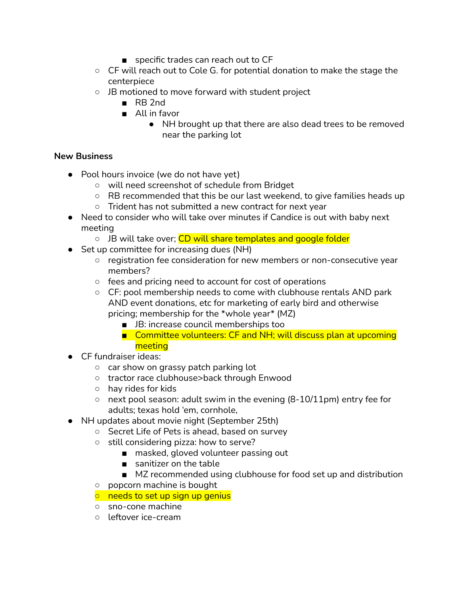- specific trades can reach out to CF
- CF will reach out to Cole G. for potential donation to make the stage the centerpiece
- JB motioned to move forward with student project
	- RB 2nd
	- All in favor
		- NH brought up that there are also dead trees to be removed near the parking lot

### **New Business**

- **●** Pool hours invoice (we do not have yet)
	- will need screenshot of schedule from Bridget
	- RB recommended that this be our last weekend, to give families heads up
	- Trident has not submitted a new contract for next year
- **●** Need to consider who will take over minutes if Candice is out with baby next meeting
	- JB will take over; CD will share templates and google folder
- Set up committee for increasing dues (NH)
	- registration fee consideration for new members or non-consecutive year members?
	- fees and pricing need to account for cost of operations
	- CF: pool membership needs to come with clubhouse rentals AND park AND event donations, etc for marketing of early bird and otherwise pricing; membership for the \*whole year\* (MZ)
		- JB: increase council memberships too
		- Committee volunteers: CF and NH; will discuss plan at upcoming meeting
- CF fundraiser ideas:
	- car show on grassy patch parking lot
	- tractor race clubhouse>back through Enwood
	- hay rides for kids
	- $\circ$  next pool season: adult swim in the evening (8-10/11pm) entry fee for adults; texas hold 'em, cornhole,
- NH updates about movie night (September 25th)
	- Secret Life of Pets is ahead, based on survey
	- still considering pizza: how to serve?
		- masked, gloved volunteer passing out
		- sanitizer on the table
		- MZ recommended using clubhouse for food set up and distribution
	- popcorn machine is bought
	- $\circ$  needs to set up sign up genius
	- sno-cone machine
	- leftover ice-cream